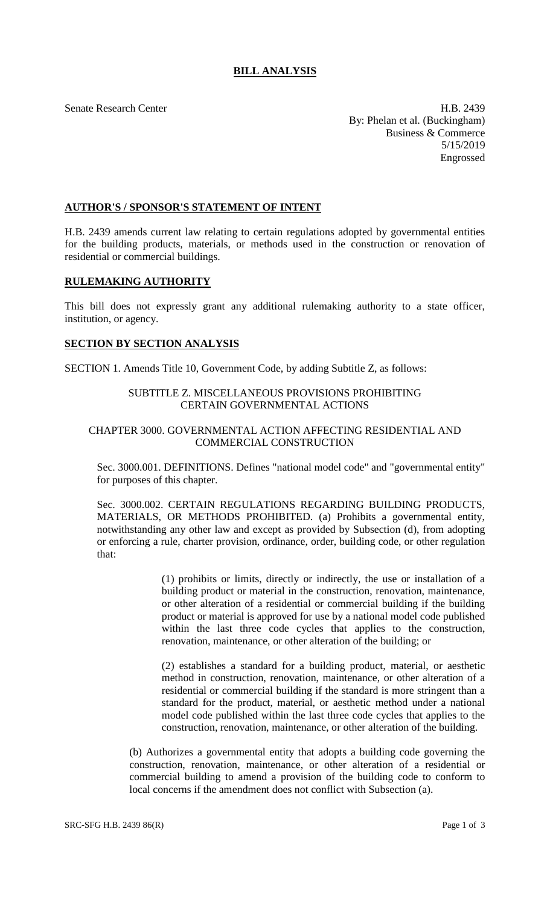# **BILL ANALYSIS**

Senate Research Center **H.B. 2439** By: Phelan et al. (Buckingham) Business & Commerce 5/15/2019 Engrossed

### **AUTHOR'S / SPONSOR'S STATEMENT OF INTENT**

H.B. 2439 amends current law relating to certain regulations adopted by governmental entities for the building products, materials, or methods used in the construction or renovation of residential or commercial buildings.

#### **RULEMAKING AUTHORITY**

This bill does not expressly grant any additional rulemaking authority to a state officer, institution, or agency.

#### **SECTION BY SECTION ANALYSIS**

SECTION 1. Amends Title 10, Government Code, by adding Subtitle Z, as follows:

## SUBTITLE Z. MISCELLANEOUS PROVISIONS PROHIBITING CERTAIN GOVERNMENTAL ACTIONS

## CHAPTER 3000. GOVERNMENTAL ACTION AFFECTING RESIDENTIAL AND COMMERCIAL CONSTRUCTION

Sec. 3000.001. DEFINITIONS. Defines "national model code" and "governmental entity" for purposes of this chapter.

Sec. 3000.002. CERTAIN REGULATIONS REGARDING BUILDING PRODUCTS, MATERIALS, OR METHODS PROHIBITED. (a) Prohibits a governmental entity, notwithstanding any other law and except as provided by Subsection (d), from adopting or enforcing a rule, charter provision, ordinance, order, building code, or other regulation that:

> (1) prohibits or limits, directly or indirectly, the use or installation of a building product or material in the construction, renovation, maintenance, or other alteration of a residential or commercial building if the building product or material is approved for use by a national model code published within the last three code cycles that applies to the construction, renovation, maintenance, or other alteration of the building; or

> (2) establishes a standard for a building product, material, or aesthetic method in construction, renovation, maintenance, or other alteration of a residential or commercial building if the standard is more stringent than a standard for the product, material, or aesthetic method under a national model code published within the last three code cycles that applies to the construction, renovation, maintenance, or other alteration of the building.

(b) Authorizes a governmental entity that adopts a building code governing the construction, renovation, maintenance, or other alteration of a residential or commercial building to amend a provision of the building code to conform to local concerns if the amendment does not conflict with Subsection (a).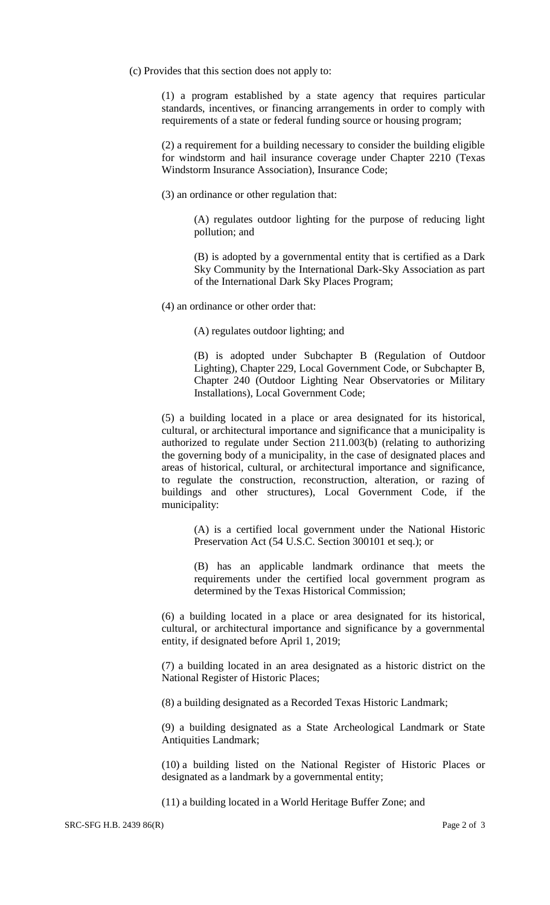(c) Provides that this section does not apply to:

(1) a program established by a state agency that requires particular standards, incentives, or financing arrangements in order to comply with requirements of a state or federal funding source or housing program;

(2) a requirement for a building necessary to consider the building eligible for windstorm and hail insurance coverage under Chapter 2210 (Texas Windstorm Insurance Association), Insurance Code;

(3) an ordinance or other regulation that:

(A) regulates outdoor lighting for the purpose of reducing light pollution; and

(B) is adopted by a governmental entity that is certified as a Dark Sky Community by the International Dark-Sky Association as part of the International Dark Sky Places Program;

(4) an ordinance or other order that:

(A) regulates outdoor lighting; and

(B) is adopted under Subchapter B (Regulation of Outdoor Lighting), Chapter 229, Local Government Code, or Subchapter B, Chapter 240 (Outdoor Lighting Near Observatories or Military Installations), Local Government Code;

(5) a building located in a place or area designated for its historical, cultural, or architectural importance and significance that a municipality is authorized to regulate under Section 211.003(b) (relating to authorizing the governing body of a municipality, in the case of designated places and areas of historical, cultural, or architectural importance and significance, to regulate the construction, reconstruction, alteration, or razing of buildings and other structures), Local Government Code, if the municipality:

(A) is a certified local government under the National Historic Preservation Act (54 U.S.C. Section 300101 et seq.); or

(B) has an applicable landmark ordinance that meets the requirements under the certified local government program as determined by the Texas Historical Commission;

(6) a building located in a place or area designated for its historical, cultural, or architectural importance and significance by a governmental entity, if designated before April 1, 2019;

(7) a building located in an area designated as a historic district on the National Register of Historic Places;

(8) a building designated as a Recorded Texas Historic Landmark;

(9) a building designated as a State Archeological Landmark or State Antiquities Landmark;

(10) a building listed on the National Register of Historic Places or designated as a landmark by a governmental entity;

(11) a building located in a World Heritage Buffer Zone; and